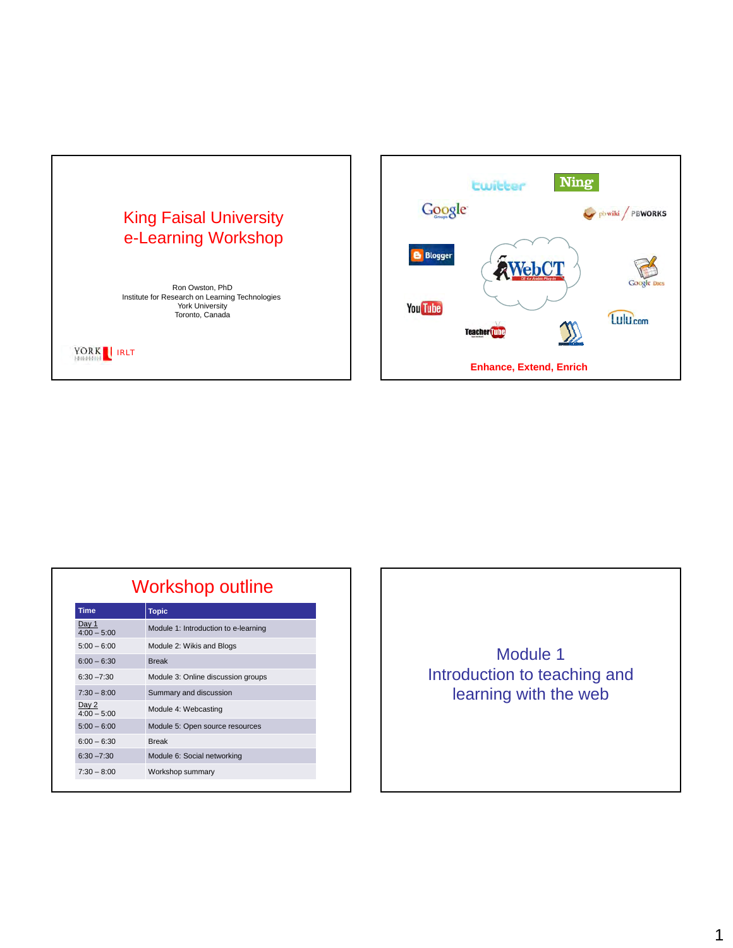



| Workshop outline       |                                      |  |  |
|------------------------|--------------------------------------|--|--|
| <b>Time</b>            | <b>Topic</b>                         |  |  |
| Day 1<br>$4:00 - 5:00$ | Module 1: Introduction to e-learning |  |  |
| $5:00 - 6:00$          | Module 2: Wikis and Blogs            |  |  |
| $6:00 - 6:30$          | <b>Break</b>                         |  |  |
| $6:30 - 7:30$          | Module 3: Online discussion groups   |  |  |
| $7:30 - 8:00$          | Summary and discussion               |  |  |
| Day 2<br>$4:00 - 5:00$ | Module 4: Webcasting                 |  |  |
| $5:00 - 6:00$          | Module 5: Open source resources      |  |  |
| $6:00 - 6:30$          | <b>Break</b>                         |  |  |
| $6:30 - 7:30$          | Module 6: Social networking          |  |  |
| $7:30 - 8:00$          | Workshop summary                     |  |  |

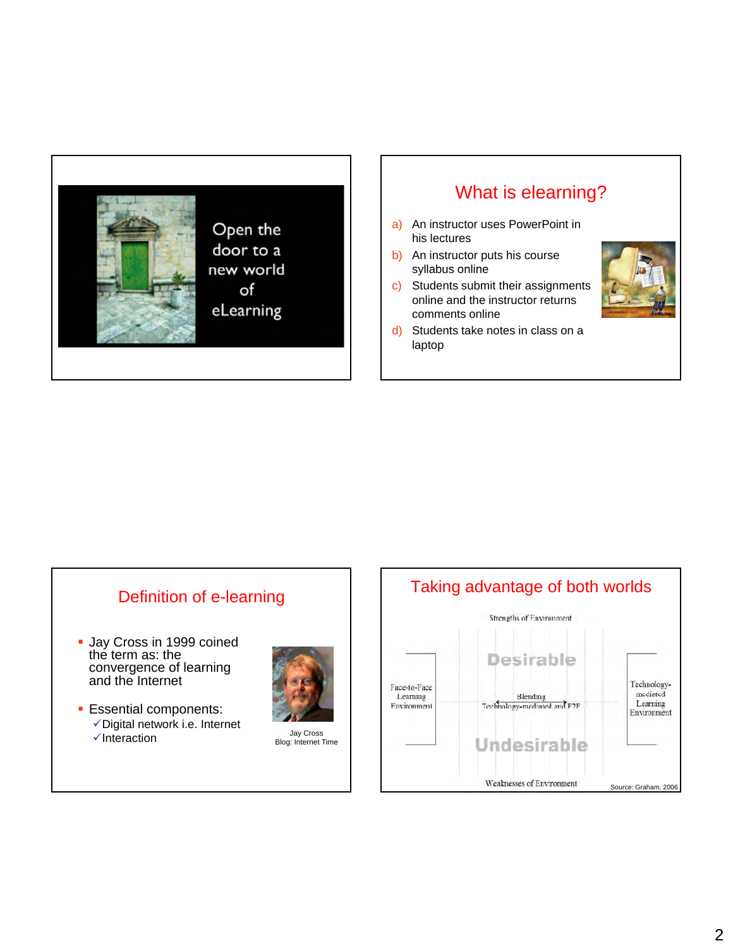

# What is elearning?

- a) An instructor uses PowerPoint in his lectures
- b) An instructor puts his course syllabus online
- c) Students submit their assignments online and the instructor returns comments online



d) Students take notes in class on a laptop

# Definition of e-learning **Jay Cross in 1999 coined** the term as: the convergence of learning and the Internet **Essential components:**  $\checkmark$  Digital network i.e. Internet 931 Jay Cross July Cross → July Cross → July Cross → July Cross Blog: Internet Time

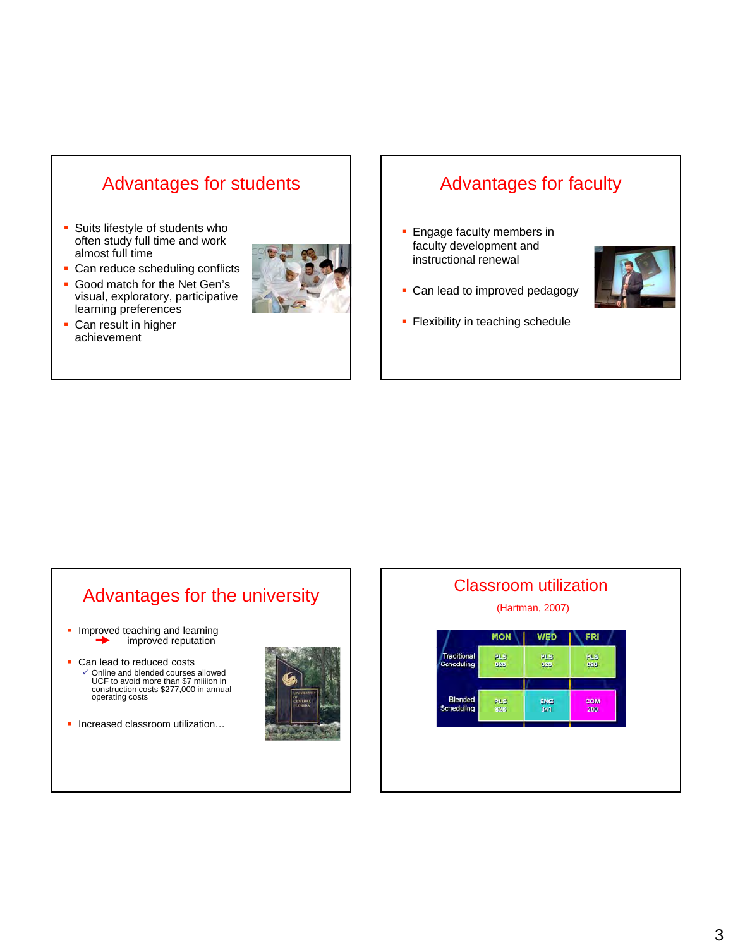# Advantages for students

- **Suits lifestyle of students who** often study full time and work almost full time
- $\blacksquare$  Can reduce scheduling conflicts
- Good match for the Net Gen's visual, exploratory, participative learning preferences
- **Can result in higher** achievement



# Advantages for faculty

**Engage faculty members in** faculty development and instructional renewal



- Can lead to improved pedagogy
- Flexibility in teaching schedule

# Advantages for the university

- Improved teaching and learning improved reputation
- Can lead to reduced costs 9 Online and blended courses allowed UCF to avoid more than \$7 million in UCF to avoid more than \$7 million construction costs \$277,000 in annual operating costs
- **Increased classroom utilization...**



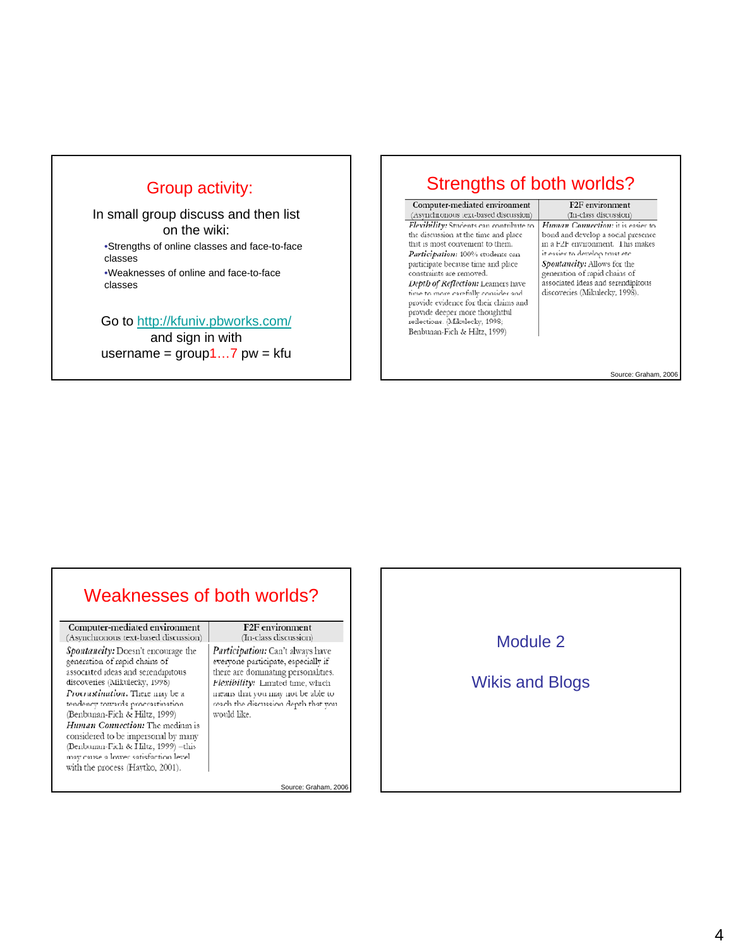#### Group activity:

In small group discuss and then list on the wiki: •Strengths of online classes and face-to-face classes •Weaknesses of online and face-to-face classes

Go to http://kfuniv.pbworks.com/

and sign in with username =  $group1...7$  pw = kfu

#### Strengths of both worlds?

Computer-mediated environment (Asynchronous text-based discussion) Flexibility: Students can contribute to the discussion at the time and place that is most convenient to them. Participation: 100% students can participate because time and place constraints are removed. Depth of Reflection: Learners have time to more carefully consider and provide evidence for their claims and provide deeper more thoughtful reflections. (Mikulecky, 1998; Benbunan-Fich & Hiltz, 1999)

F<sub>2F</sub> environment (In-class discussion) Human Connection: it is easier to bond and develop a social presence in a F2F environment. This makes it easier to develop trust etc. Spontaneity: Allows for the generation of rapid chains of associated ideas and serendipitous discoveries (Mikulecky, 1998).

Source: Graham, 2006

# Weaknesses of both worlds?

Computer-mediated environment (Asynchronous text-based discussion) Spontaneity: Doesn't encourage the generation of rapid chains of associated ideas and serendipitous discoveries (Mikulecky, 1998) Procrastination: There may be a tendency towards procrastination (Benbunan-Fich & Hiltz, 1999) Human Connection: The medium is considered to be impersonal by many (Benbunan-Fich & Hiltz, 1999) -this may cause a lower satisfaction level with the process (Haytko, 2001).

#### F<sub>2F</sub> environment

(In-class discussion) Participation: Can't always have everyone participate, especially if there are dominating personalities. Flexibility: Limited time, which means that you may not be able to reach the discussion depth that you would like.

Source: Graham, 2006

#### Module 2

#### Wikis and Blogs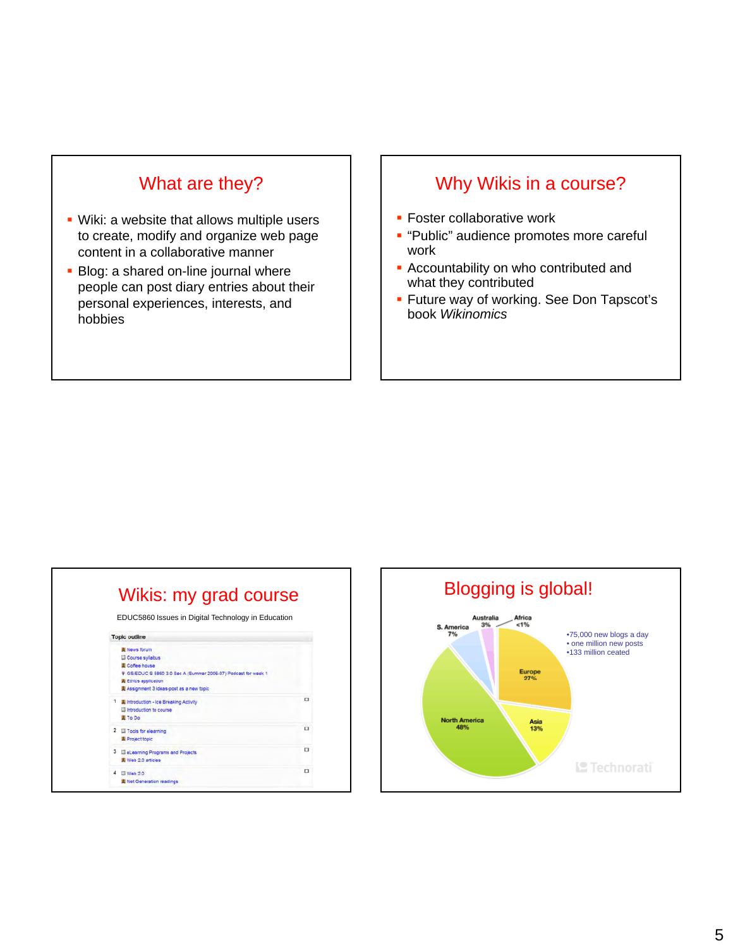# What are they?

- Wiki: a website that allows multiple users to create, modify and organize web page content in a collaborative manner
- $\blacksquare$  Blog: a shared on-line journal where people can post diary entries about their personal experiences, interests, and hobbies

#### Why Wikis in a course?

- **Foster collaborative work**
- **.** "Public" audience promotes more careful work
- $\blacksquare$  Accountability on who contributed and what they contributed
- **Future way of working. See Don Tapscot's** book *Wikinomics*

|                                         |                                                                | EDUC5860 Issues in Digital Technology in Education |
|-----------------------------------------|----------------------------------------------------------------|----------------------------------------------------|
| <b>Topic outline</b>                    |                                                                |                                                    |
| <b>E</b> News forum                     |                                                                |                                                    |
| Course syllabus                         |                                                                |                                                    |
| <b>E</b> Coffee house                   |                                                                |                                                    |
|                                         | + GS/EDUC S 5860 3.0 Sec A (Summer 2006-07) Podcast for week 1 |                                                    |
| 裏 Ethics application                    |                                                                |                                                    |
| Assignment 3 ideas-post as a new topic  |                                                                |                                                    |
| I Eintroduction - Ice Breaking Activity |                                                                | $\Box$                                             |
| El Introduction to course               |                                                                |                                                    |
| <b>II</b> To Do                         |                                                                |                                                    |
| 2 Tools for elearning                   |                                                                | $\Box$                                             |
| 量 Project topic                         |                                                                |                                                    |
|                                         |                                                                |                                                    |
| 3 El eLearning Programs and Projects    |                                                                | ▭                                                  |
| <b>Web 2.0 articles</b>                 |                                                                |                                                    |
| III Web 2.0                             |                                                                | □                                                  |
| 畫 Net Generation readings               |                                                                |                                                    |

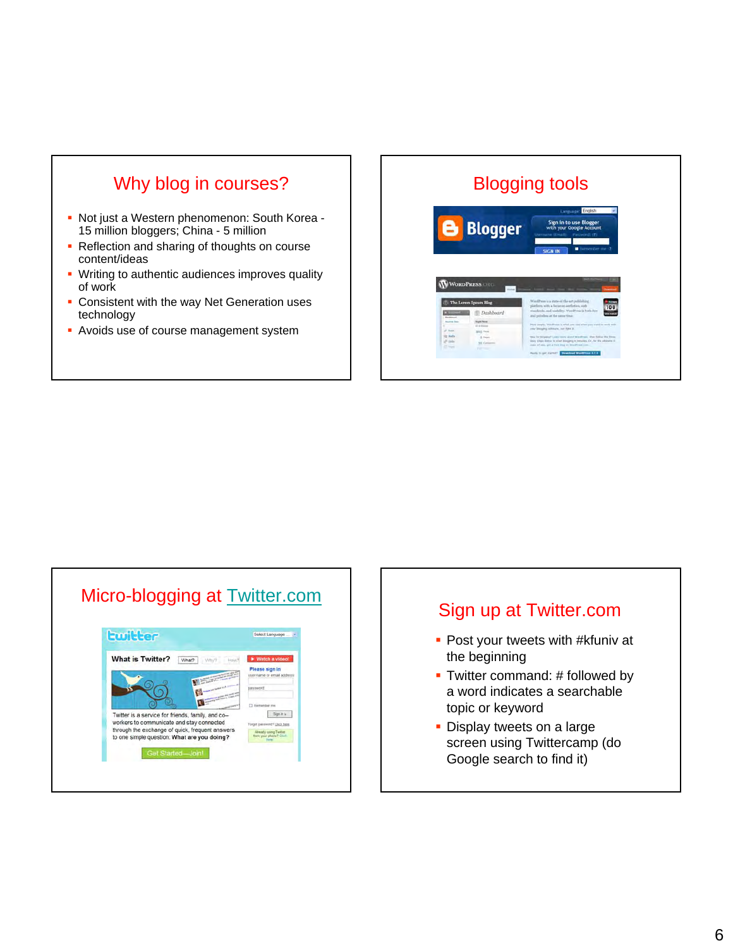# Why blog in courses?

- Not just a Western phenomenon: South Korea 15 million bloggers; China - 5 million
- Reflection and sharing of thoughts on course content/ideas
- **Writing to authentic audiences improves quality** of work
- **Consistent with the way Net Generation uses** technology
- **Avoids use of course management system**

# Blogging tools **Blogger WORDPRESS**

# Micro-blogging at **Twitter.com**



# Sign up at Twitter.com **Post your tweets with #kfuniv at** the beginning  $\blacksquare$  Twitter command: # followed by a word indicates a searchable topic or keyword **Display tweets on a large** screen using Twittercamp (do Google search to find it)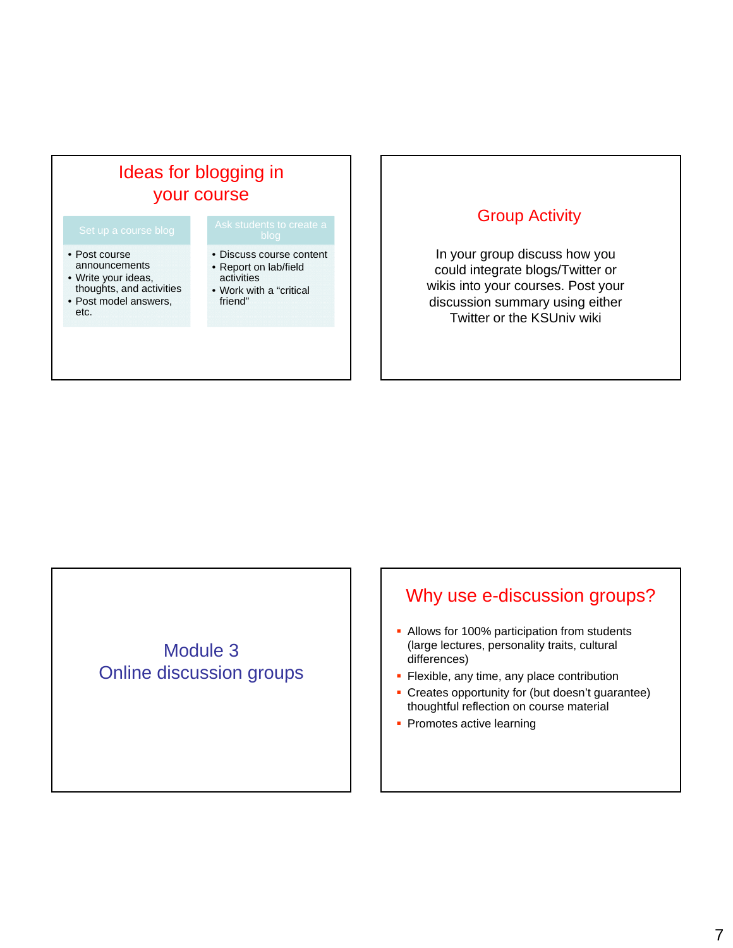# Ideas for blogging in your course

- Post course announcements
- Write your ideas, thoughts, and activities
- Post model answers, etc.

- Discuss course content
- s Report on lab/field
	- activities
	- Work with a "critical friend"

#### Group Activity

In your group discuss how you could integrate blogs/Twitter or wikis into your courses. Post your discussion summary using either Twitter or the KSUniv wiki

# Module 3 Online discussion groups

# Why use e-discussion groups?

- Allows for 100% participation from students (large lectures, personality traits, cultural differences)
- $\blacksquare$  Flexible, any time, any place contribution
- Creates opportunity for (but doesn't guarantee) thoughtful reflection on course material
- Promotes active learning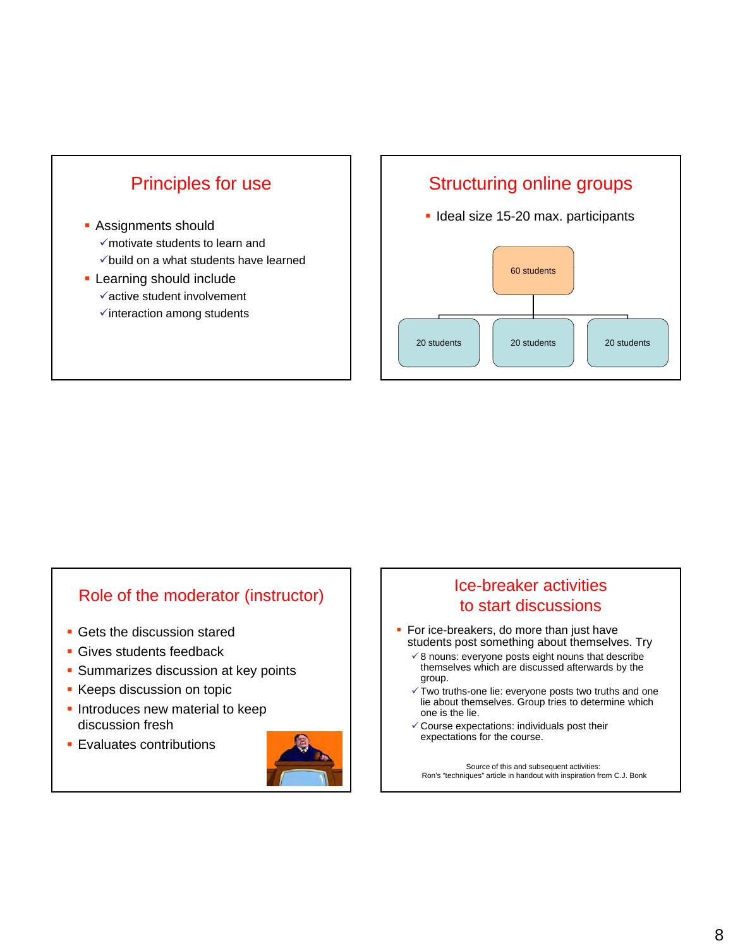

#### Structuring online groups

**I** Ideal size 15-20 max. participants



#### Role of the moderator (instructor)

- **Gets the discussion stared**
- **Gives students feedback**
- **Summarizes discussion at key points**
- **Keeps discussion on topic**
- **Introduces new material to keep** discussion fresh
- **Evaluates contributions**



#### Ice-breaker activities to start discussions

- For ice-breakers, do more than just have students post something about themselves. Try
	- $\checkmark$  8 nouns: everyone posts eight nouns that describe themselves which are discussed afterwards by the group.
	- $\checkmark$  Two truths-one lie: everyone posts two truths and one lie about themselves. Group tries to determine which one is the lie.
	- $\checkmark$  Course expectations: individuals post their expectations for the course.

Source of this and subsequent activities: Ron's "techniques" article in handout with inspiration from C.J. Bonk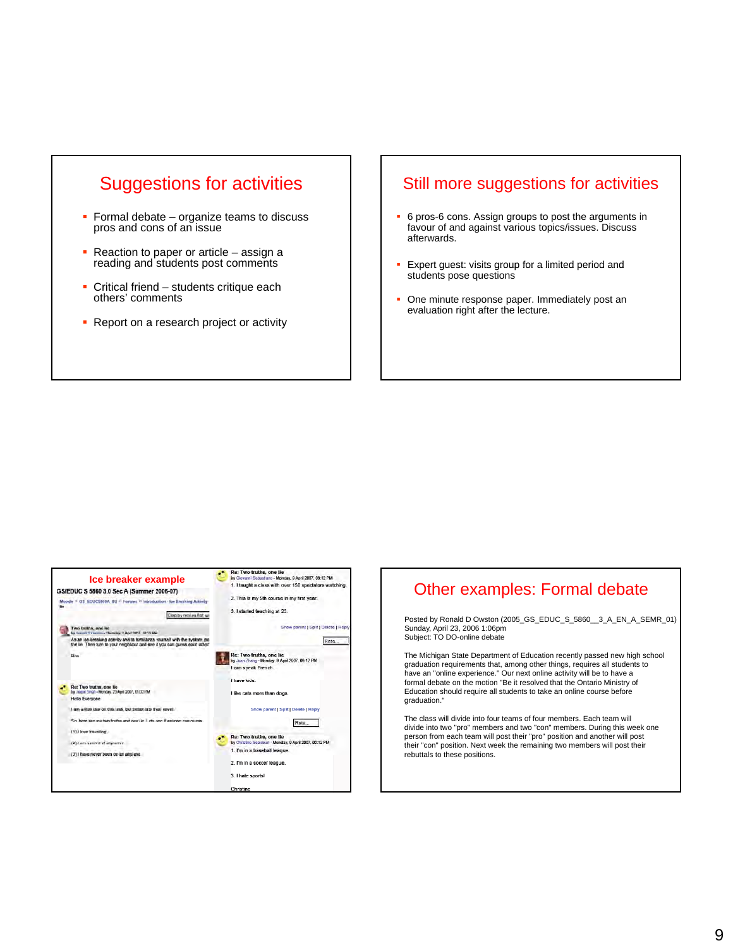

- **Formal debate organize teams to discuss** pros and cons of an issue
- Reaction to paper or article assign a reading and students post comments
- **Critical friend students critique each** others' comments
- **Report on a research project or activity**

#### Still more suggestions for activities

- 6 pros-6 cons. Assign groups to post the arguments in favour of and against various topics/issues. Discuss afterwards.
- Expert guest: visits group for a limited period and students pose questions
- One minute response paper. Immediately post an evaluation right after the lecture.



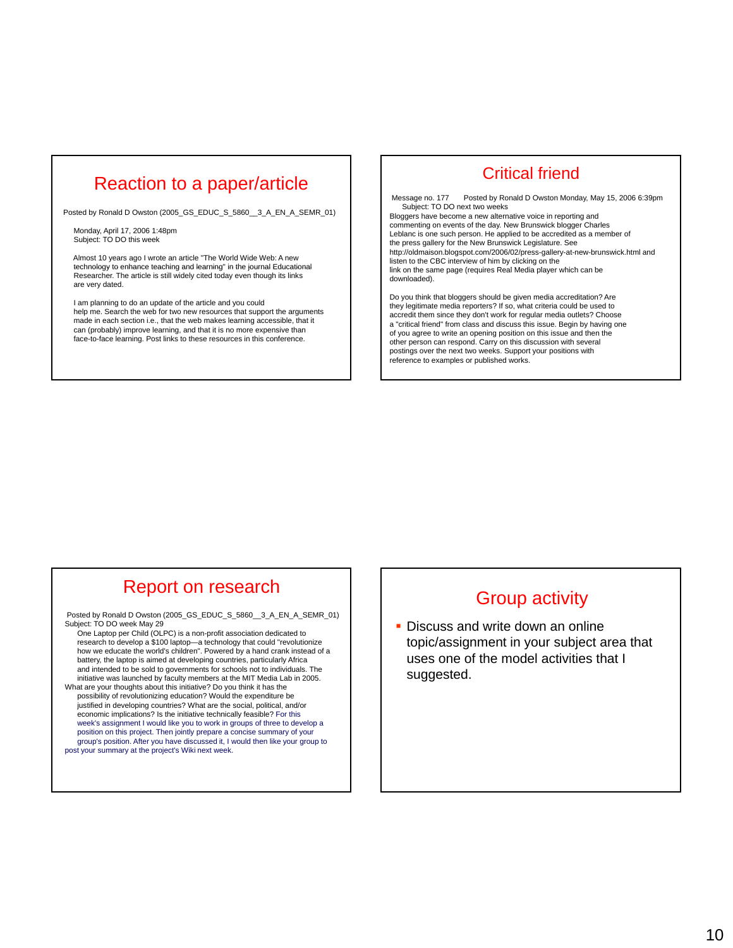#### Reaction to a paper/article

Posted by Ronald D Owston (2005\_GS\_EDUC\_S\_5860\_\_3\_A\_EN\_A\_SEMR\_01)

Monday, April 17, 2006 1:48pm Subject: TO DO this week

Almost 10 years ago I wrote an article "The World Wide Web: A new technology to enhance teaching and learning" in the journal Educational<br>Researcher. The article is still widely cited today even though its links are very dated.

I am planning to do an update of the article and you could help me. Search the web for two new resources that support the arguments made in each section i.e., that the web makes learning accessible, that it can (probably) improve learning, and that it is no more expensive than face-to-face learning. Post links to these resources in this conference.

#### Critical friend

Message no. 177 Posted by Ronald D Owston Monday, May 15, 2006 6:39pm Subject: TO DO next two weeks

Bloggers have become a new alternative voice in reporting and commenting on events of the day. New Brunswick blogger Charles Leblanc is one such person. He applied to be accredited as a member of the press gallery for the New Brunswick Legislature. See http://oldmaison.blogspot.com/2006/02/press-gallery-at-new-brunswick.html and listen to the CBC interview of him by clicking on the link on the same page (requires Real Media player which can be downloaded).

Do you think that bloggers should be given media accreditation? Are they legitimate media reporters? If so, what criteria could be used to accredit them since they don't work for regular media outlets? Choose a "critical friend" from class and discuss this issue. Begin by having one of you agree to write an opening position on this issue and then the other person can respond. Carry on this discussion with several postings over the next two weeks. Support your positions with reference to examples or published works.

#### Report on research

Posted by Ronald D Owston (2005\_GS\_EDUC\_S\_5860\_\_3\_A\_EN\_A\_SEMR\_01) Subject: TO DO week May 29 One Laptop per Child (OLPC) is a non-profit association dedicated to

research to develop a \$100 laptop—a technology that could "revolutionize how we educate the world's children". Powered by a hand crank instead of a battery, the laptop is aimed at developing countries, particularly Africa and intended to be sold to governments for schools not to individuals. The initiative was launched by faculty members at the MIT Media Lab in 2005.

What are your thoughts about this initiative? Do you think it has the possibility of revolutionizing education? Would the expenditure be justified in developing countries? What are the social, political, and/or economic implications? Is the initiative technically feasible? For this week's assignment I would like you to work in groups of three to develop a position on this project. Then jointly prepare a concise summary of your group's position. After you have discussed it, I would then like your group to post your summary at the project's Wiki next week.

#### Group activity

**- Discuss and write down an online** topic/assignment in your subject area that uses one of the model activities that I suggested.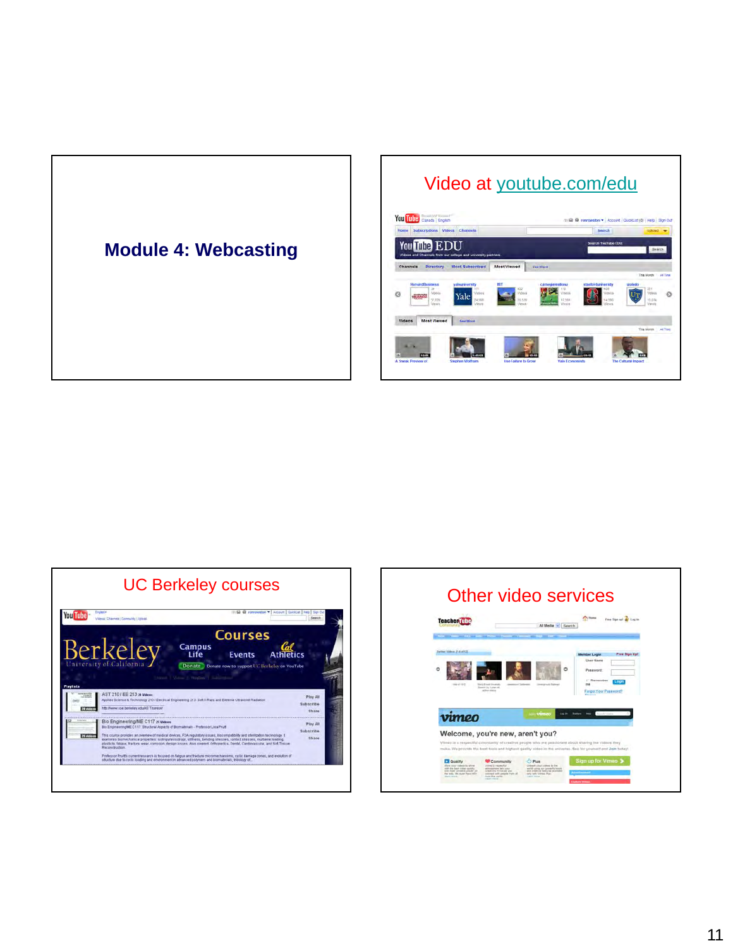

# Video at youtube.com/edu





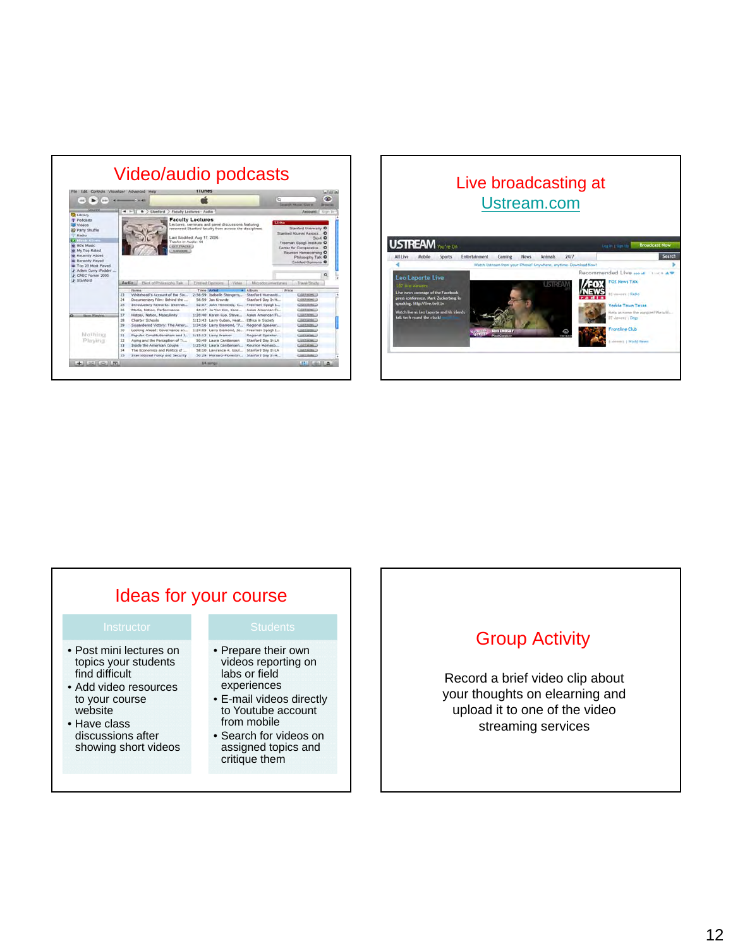| File.<br>Edit                                                                                                                     | Controls Visualizer Advanced Help<br>$-0.36 - 0.01$                                                                                                                       |                                         | iTunes                                                                                                             |                 | $\alpha$                                                                                          | <b>Lease News Store</b>                                                                                                                     | <b>Latinities</b><br><b>GRD</b><br><b>Drawing</b> |
|-----------------------------------------------------------------------------------------------------------------------------------|---------------------------------------------------------------------------------------------------------------------------------------------------------------------------|-----------------------------------------|--------------------------------------------------------------------------------------------------------------------|-----------------|---------------------------------------------------------------------------------------------------|---------------------------------------------------------------------------------------------------------------------------------------------|---------------------------------------------------|
| <b>D</b> Library                                                                                                                  | $-1.3 - 1.7$                                                                                                                                                              | A > Stanford > Faculty Lectures - Audio |                                                                                                                    |                 |                                                                                                   | Account!                                                                                                                                    | Source Dr                                         |
| Radio<br><b>PERING STORY</b><br>W. 90's Music<br>o My Top Rated<br>* Recently Added<br>a: Recently Played<br>@ Top 25 Most Played | Last Modified: Aug 17, 2006.<br>Tracks in Audio: 64<br><b>GET.TRACKS.</b><br>AANSA HUNE                                                                                   |                                         |                                                                                                                    |                 |                                                                                                   | <b>RILLY</b> O<br>Freeman Spool Institute O<br>Center for Comparative.<br>Receient Homecoming O<br>Philosophy Talk O<br>Entitled Opinions O |                                                   |
| F Adam Curry iPodder<br>F. CMEC Forum 2005                                                                                        |                                                                                                                                                                           |                                         |                                                                                                                    |                 |                                                                                                   |                                                                                                                                             |                                                   |
| J Stanford                                                                                                                        | Audio<br>Best of Philasophy Talk                                                                                                                                          |                                         | <b>Entired Opening</b>                                                                                             | <b>Midleton</b> | Microdocumiertanes                                                                                | Travel/Study                                                                                                                                |                                                   |
|                                                                                                                                   | <b>FANFYIE</b><br>23<br>Whitehead's Account of the Six.<br>24<br>Documentary Film: Behind the<br>25<br>Introductory Remarks: Internat<br>26<br>Media, Nation, Performance |                                         | Time Wrbst<br>2:56:59 Isabelle Stengers<br>56:59 Jan Krawitz<br>52:07 John Hernessy, C.,<br>44:47 Ju-Yon Kim, Kare | #1 Album        | <b>EVIOR</b><br>Stanford Humaniti<br>Stanford Day In H<br>Freeman Spogli L.,<br>Asian American Fi | <b>CARESONS</b> O<br>CARP MANCH<br><b>GREENWAY</b><br><b>CERT HOWLD</b>                                                                     |                                                   |
| <b>Biznu, Playdrid</b>                                                                                                            | 27<br>History, Nation, Masculinity<br>28<br>Charter Schools<br>29<br>Squandered Victory: The Amer                                                                         |                                         | 1:20:40 Karen Kuo, Steve<br>1:13:43 Larry Cuban, Heat<br>1:34:16 Larry Diamond, '7                                 |                 | Assan American FL<br>Ethica in Society<br>Regional Speaker                                        | <b>CART ROBG-3</b><br>C-REY NOME-1<br><b>LIGHT NOWLED</b>                                                                                   |                                                   |
| Nathina<br>Playing                                                                                                                | 50<br>Looking Ahead: Governance an<br>31<br>Popular Constitutionalism and J<br>32<br>Aging and the Perception of Ti<br>33<br>Inside the American Couple                   |                                         | 1:24:09 Larry Diamond, Jo.,<br>1:15:13 Larry Kramer<br>50:49 Laura Carstensen<br>1:25:43 Laura Carsterisen         |                 | Freeman Spool L.<br>Regional Speaker<br>Stanford Day In LA<br>Reunion Homeco                      | <b>CURRENOMILLO</b><br><b>CARLMONLU</b><br>EARK NOWL 2<br>CHEEMING O                                                                        |                                                   |



# Ideas for your course

- Post mini lectures on topics your students find difficult
- Add video resources to your course website
- Have class discussions after showing short videos

- Prepare their own videos reporting on labs or field experiences
- E-mail videos directly to Youtube account from mobile
- Search for videos on assigned topics and critique them

#### Group Activity

Record a brief video clip about your thoughts on elearning and upload it to one of the video streaming services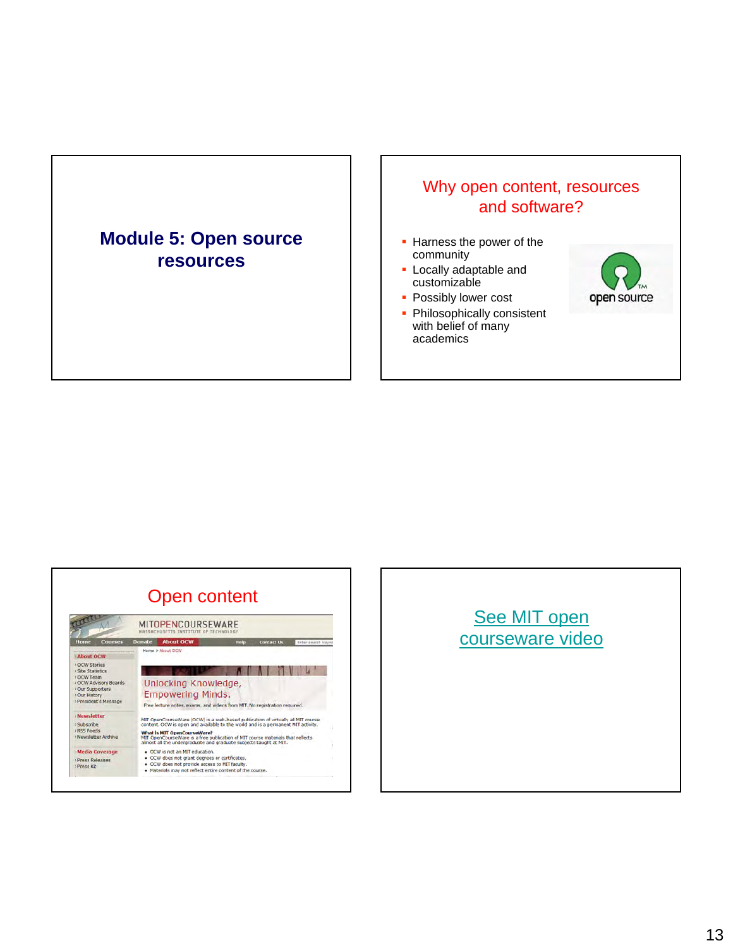## **Module 5: Open source resources**

#### Why open content, resources and software?

- **Harness the power of the** community
- $\blacksquare$  Locally adaptable and customizable
- **Possibly lower cost**
- Philosophically consistent with belief of many academics





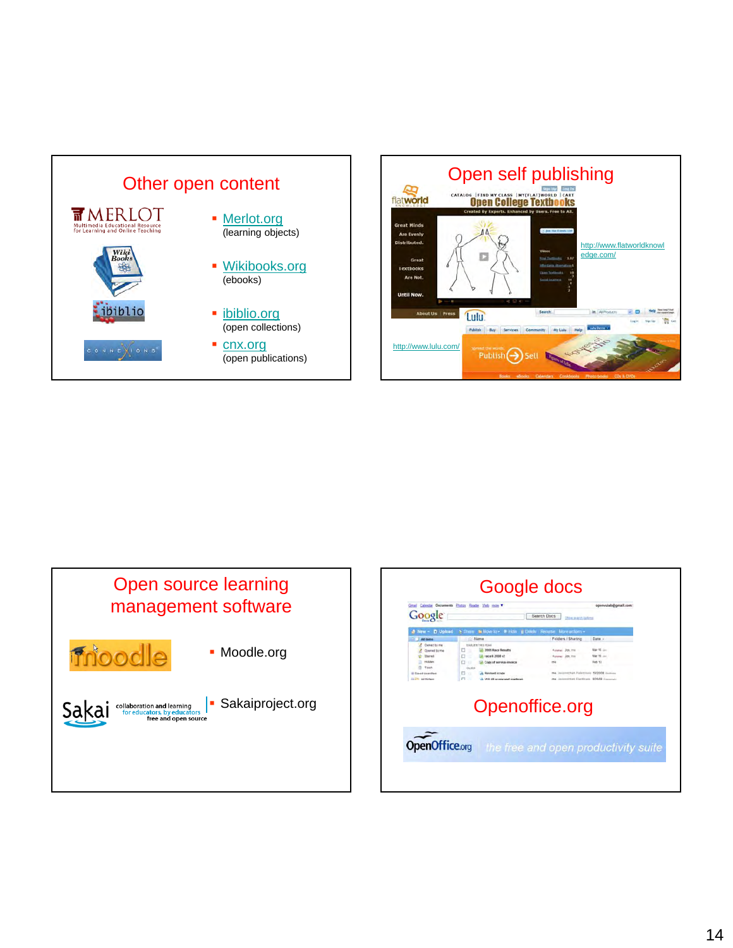





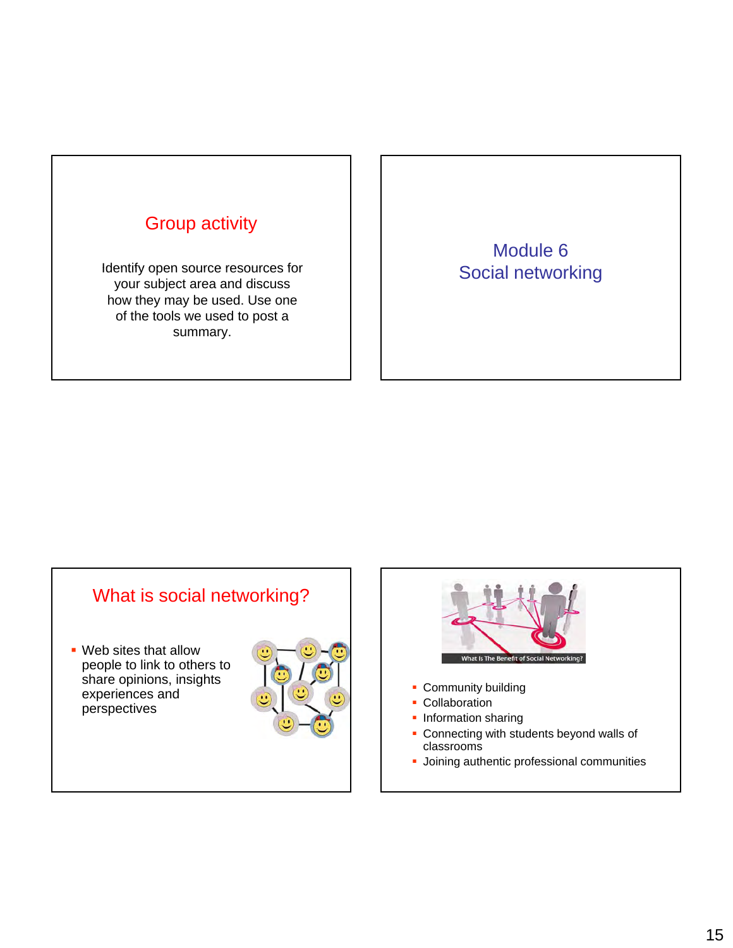

Identify open source resources for your subject area and discuss how they may be used. Use one of the tools we used to post a summary.

Module 6 Social networking

# What is social networking?

 Web sites that allow people to link to others to share opinions, insights experiences and perspectives





- Community building
- **Collaboration**
- **Information sharing**
- **Connecting with students beyond walls of** classrooms
- **Joining authentic professional communities**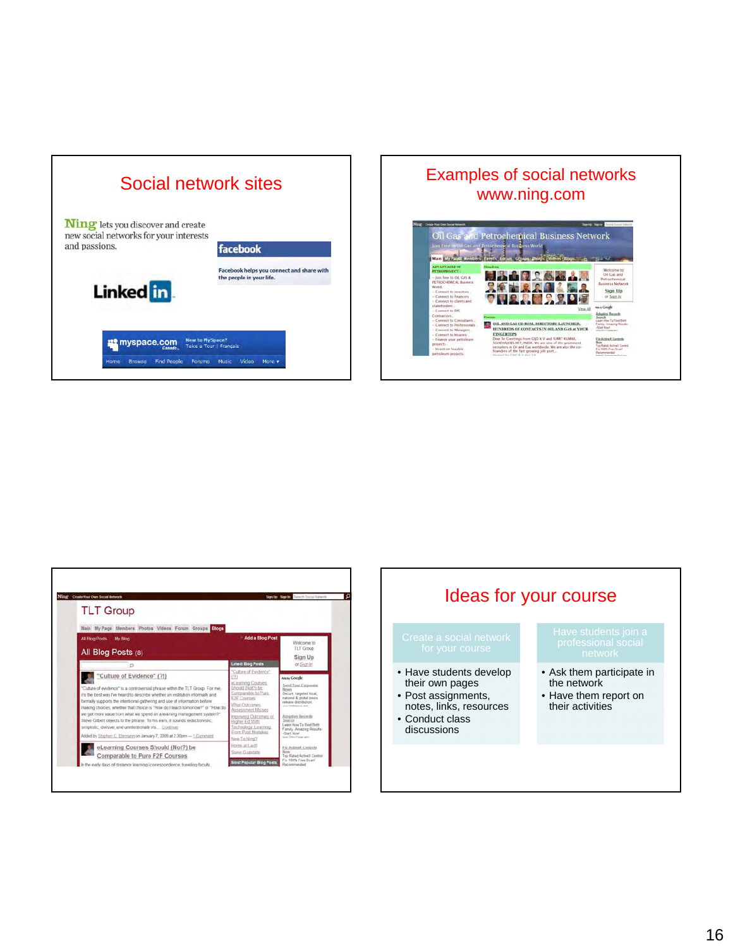| Social network sites                                                                                      |                                                                       |  |  |  |  |
|-----------------------------------------------------------------------------------------------------------|-----------------------------------------------------------------------|--|--|--|--|
| <b>Ning</b> lets you discover and create<br>new social networks for your interests<br>and passions.       | facebook                                                              |  |  |  |  |
| Linked in                                                                                                 | Facebook helps you connect and share with<br>the people in your life. |  |  |  |  |
| <b>New to MySpace?</b><br>myspace.com<br>Canada.<br><b>Find People</b><br>Home<br><b>Browse</b><br>Forums | Take a Tour   Français<br>Video<br>More v<br>Music                    |  |  |  |  |

#### Examples of social networks www.ning.com